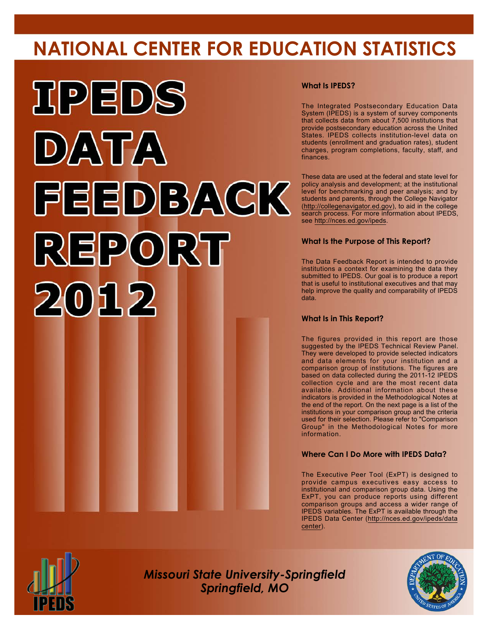# **NATIONAL CENTER FOR EDUCATION STATISTICS**



### **What Is IPEDS?**

The Integrated Postsecondary Education Data System (IPEDS) is a system of survey components that collects data from about 7,500 institutions that provide postsecondary education across the United States. IPEDS collects institution-level data on students (enrollment and graduation rates), student charges, program completions, faculty, staff, and finances.

These data are used at the federal and state level for policy analysis and development; at the institutional level for benchmarking and peer analysis; and by students and parents, through the College Navigator (<http://collegenavigator.ed.gov>), to aid in the college search process. For more information about IPEDS, see [http://nces.ed.gov/ipeds.](http://nces.ed.gov/ipeds)

### **What Is the Purpose of This Report?**

The Data Feedback Report is intended to provide institutions a context for examining the data they submitted to IPEDS. Our goal is to produce a report that is useful to institutional executives and that may help improve the quality and comparability of IPEDS data.

#### **What Is in This Report?**

The figures provided in this report are those suggested by the IPEDS Technical Review Panel. They were developed to provide selected indicators and data elements for your institution and a comparison group of institutions. The figures are based on data collected during the 2011-12 IPEDS collection cycle and are the most recent data available. Additional information about these indicators is provided in the Methodological Notes at the end of the report. On the next page is a list of the institutions in your comparison group and the criteria used for their selection. Please refer to "Comparison Group" in the Methodological Notes for more information.

### **Where Can I Do More with IPEDS Data?**

The Executive Peer Tool (ExPT) is designed to provide campus executives easy access to institutional and comparison group data. Using the ExPT, you can produce reports using different comparison groups and access a wider range of IPEDS variables. The ExPT is available through the IPEDS Data Center ([http://nces.ed.gov/ipeds/data](http://nces.ed.gov/ipeds/datacenter) [center](http://nces.ed.gov/ipeds/datacenter)).



Image description. Cover Image End of image description.

*Missouri State University-Springfield Springfield, MO*

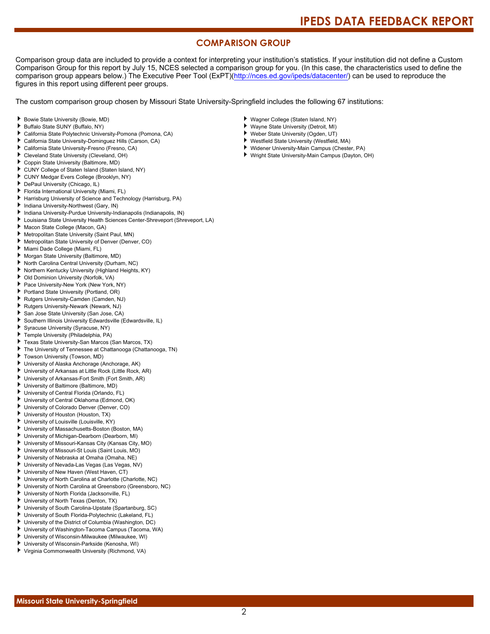## **COMPARISON GROUP**

Comparison group data are included to provide a context for interpreting your institution's statistics. If your institution did not define a Custom Comparison Group for this report by July 15, NCES selected a comparison group for you. (In this case, the characteristics used to define the comparison group appears below.) The Executive Peer Tool (ExPT)[\(http://nces.ed.gov/ipeds/datacenter/\)](http://nces.ed.gov/ipeds/datacenter/) can be used to reproduce the figures in this report using different peer groups.

The custom comparison group chosen by Missouri State University-Springfield includes the following 67 institutions:

#### Bowie State University (Bowie, MD)

- Buffalo State SUNY (Buffalo, NY)
- California State Polytechnic University-Pomona (Pomona, CA)
- ь California State University-Dominguez Hills (Carson, CA)
- California State University-Fresno (Fresno, CA)
- Cleveland State University (Cleveland, OH)
- Coppin State University (Baltimore, MD)
- CUNY College of Staten Island (Staten Island, NY)
- CUNY Medgar Evers College (Brooklyn, NY)
- DePaul University (Chicago, IL)
- Florida International University (Miami, FL)
- Harrisburg University of Science and Technology (Harrisburg, PA)
- Indiana University-Northwest (Gary, IN)
- Indiana University-Purdue University-Indianapolis (Indianapolis, IN)
- Louisiana State University Health Sciences Center-Shreveport (Shreveport, LA)
- Macon State College (Macon, GA)
- Metropolitan State University (Saint Paul, MN)
- Metropolitan State University of Denver (Denver, CO)
- Miami Dade College (Miami, FL)
- Morgan State University (Baltimore, MD)
- North Carolina Central University (Durham, NC)
- Northern Kentucky University (Highland Heights, KY)
- Old Dominion University (Norfolk, VA)
- Pace University-New York (New York, NY)
- Portland State University (Portland, OR)
- Rutgers University-Camden (Camden, NJ)
- Rutgers University-Newark (Newark, NJ)
- San Jose State University (San Jose, CA)
- Southern Illinois University Edwardsville (Edwardsville, IL)
- Syracuse University (Syracuse, NY)
- Temple University (Philadelphia, PA)
- Texas State University-San Marcos (San Marcos, TX)
- The University of Tennessee at Chattanooga (Chattanooga, TN)
- Towson University (Towson, MD)
- University of Alaska Anchorage (Anchorage, AK)
- University of Arkansas at Little Rock (Little Rock, AR)
- University of Arkansas-Fort Smith (Fort Smith, AR)
- University of Baltimore (Baltimore, MD)
- University of Central Florida (Orlando, FL)
- University of Central Oklahoma (Edmond, OK)
- University of Colorado Denver (Denver, CO)
- University of Houston (Houston, TX)
- University of Louisville (Louisville, KY)
- University of Massachusetts-Boston (Boston, MA)
- University of Michigan-Dearborn (Dearborn, MI)
- University of Missouri-Kansas City (Kansas City, MO)
- University of Missouri-St Louis (Saint Louis, MO)
- University of Nebraska at Omaha (Omaha, NE)
- University of Nevada-Las Vegas (Las Vegas, NV)
- University of New Haven (West Haven, CT)
- University of North Carolina at Charlotte (Charlotte, NC)
- University of North Carolina at Greensboro (Greensboro, NC)
- University of North Florida (Jacksonville, FL)
- University of North Texas (Denton, TX)
- University of South Carolina-Upstate (Spartanburg, SC)
- University of South Florida-Polytechnic (Lakeland, FL)
- ٠ University of the District of Columbia (Washington, DC)
- University of Washington-Tacoma Campus (Tacoma, WA)
- University of Wisconsin-Milwaukee (Milwaukee, WI)
- University of Wisconsin-Parkside (Kenosha, WI)
- Virginia Commonwealth University (Richmond, VA)
- Wagner College (Staten Island, NY)
- Wayne State University (Detroit, MI)
- ٠ Weber State University (Ogden, UT)
- ¥. Westfield State University (Westfield, MA)
- Widener University-Main Campus (Chester, PA)
- Wright State University-Main Campus (Dayton, OH)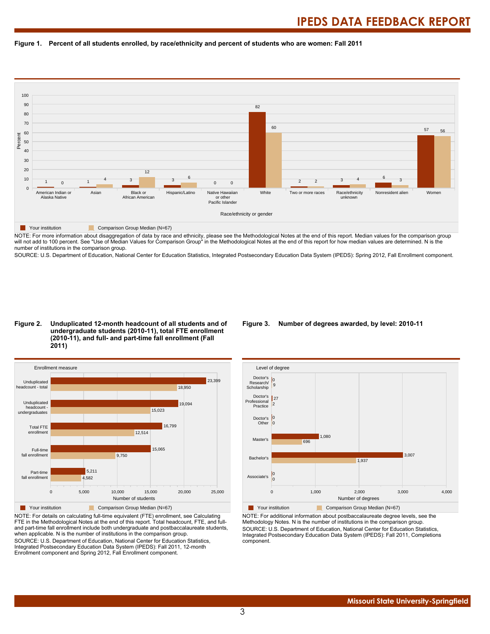#### **Figure 1. Percent of all students enrolled, by race/ethnicity and percent of students who are women: Fall 2011**



NOTE: For more information about disaggregation of data by race and ethnicity, please see the Methodological Notes at the end of this report. Median values for the comparison group will not add to 100 percent. See "Use of Median Values for Comparison Group" in the Methodological Notes at the end of this report for how median values are determined. N is the number of institutions in the comparison group.

SOURCE: U.S. Department of Education, National Center for Education Statistics, Integrated Postsecondary Education Data System (IPEDS): Spring 2012, Fall Enrollment component.

#### **Figure 2. Unduplicated 12-month headcount of all students and of undergraduate students (2010-11), total FTE enrollment (2010-11), and full- and part-time fall enrollment (Fall 2011)**



NOTE: For details on calculating full-time equivalent (FTE) enrollment, see Calculating FTE in the Methodological Notes at the end of this report. Total headcount, FTE, and fulland part-time fall enrollment include both undergraduate and postbaccalaureate students, when applicable. N is the number of institutions in the comparison group. SOURCE: U.S. Department of Education, National Center for Education Statistics, Integrated Postsecondary Education Data System (IPEDS): Fall 2011, 12-month Enrollment component and Spring 2012, Fall Enrollment component.

#### **Figure 3. Number of degrees awarded, by level: 2010-11**



NOTE: For additional information about postbaccalaureate degree levels, see the Methodology Notes. N is the number of institutions in the comparison group. SOURCE: U.S. Department of Education, National Center for Education Statistics, Integrated Postsecondary Education Data System (IPEDS): Fall 2011, Completions component.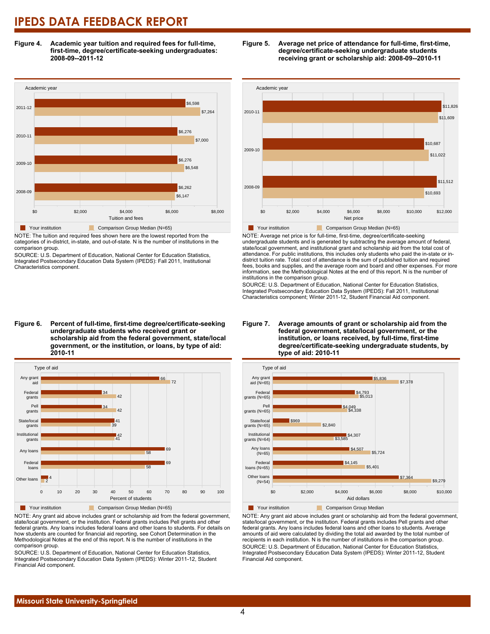**Figure 4. Academic year tuition and required fees for full-time, first-time, degree/certificate-seeking undergraduates: 2008-09--2011-12**



NOTE: The tuition and required fees shown here are the lowest reported from the categories of in-district, in-state, and out-of-state. N is the number of institutions in the comparison group.

SOURCE: U.S. Department of Education, National Center for Education Statistics, Integrated Postsecondary Education Data System (IPEDS): Fall 2011, Institutional Characteristics component.



**Figure 5. Average net price of attendance for full-time, first-time, degree/certificate-seeking undergraduate students receiving grant or scholarship aid: 2008-09--2010-11**

Your institution **Comparison Group Median (N=65)** 

NOTE: Average net price is for full-time, first-time, degree/certificate-seeking undergraduate students and is generated by subtracting the average amount of federal, state/local government, and institutional grant and scholarship aid from the total cost of attendance. For public institutions, this includes only students who paid the in-state or indistrict tuition rate. Total cost of attendance is the sum of published tuition and required fees, books and supplies, and the average room and board and other expenses. For more information, see the Methodological Notes at the end of this report. N is the number of institutions in the comparison group.

SOURCE: U.S. Department of Education, National Center for Education Statistics, Integrated Postsecondary Education Data System (IPEDS): Fall 2011, Institutional Characteristics component; Winter 2011-12, Student Financial Aid component.

Type of aid Any grant **2010-11** Pell grants Federal gra 42 34 42 34 72 66



**Your institution** Comparison Group Median (N=65)

NOTE: Any grant aid above includes grant or scholarship aid from the federal government, state/local government, or the institution. Federal grants includes Pell grants and other federal grants. Any loans includes federal loans and other loans to students. For details on how students are counted for financial aid reporting, see Cohort Determination in the Methodological Notes at the end of this report. N is the number of institutions in the comparison group.

SOURCE: U.S. Department of Education, National Center for Education Statistics, Integrated Postsecondary Education Data System (IPEDS): Winter 2011-12, Student Financial Aid component.

#### **Figure 7. Average amounts of grant or scholarship aid from the federal government, state/local government, or the institution, or loans received, by full-time, first-time degree/certificate-seeking undergraduate students, by type of aid: 2010-11**



NOTE: Any grant aid above includes grant or scholarship aid from the federal government, state/local government, or the institution. Federal grants includes Pell grants and other federal grants. Any loans includes federal loans and other loans to students. Average amounts of aid were calculated by dividing the total aid awarded by the total number of recipients in each institution. N is the number of institutions in the comparison group. SOURCE: U.S. Department of Education, National Center for Education Statistics, Integrated Postsecondary Education Data System (IPEDS): Winter 2011-12, Student Financial Aid component.

### **Figure 6. Percent of full-time, first-time degree/certificate-seeking undergraduate students who received grant or scholarship aid from the federal government, state/local government, or the institution, or loans, by type of aid:**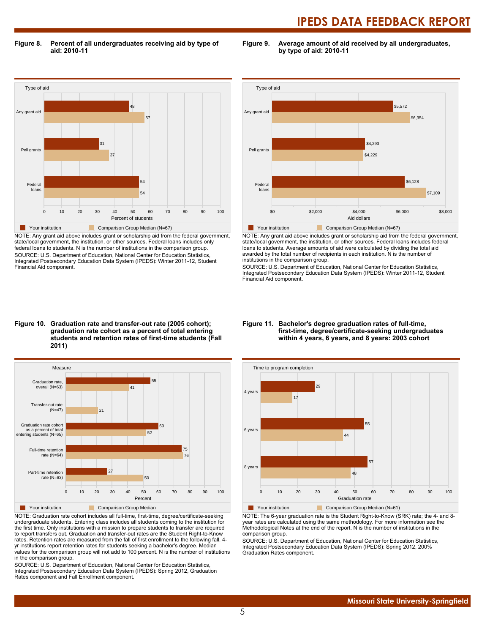**Figure 8. Percent of all undergraduates receiving aid by type of aid: 2010-11**

**Figure 9. Average amount of aid received by all undergraduates, by type of aid: 2010-11**



NOTE: Any grant aid above includes grant or scholarship aid from the federal government, state/local government, the institution, or other sources. Federal loans includes only federal loans to students. N is the number of institutions in the comparison group. SOURCE: U.S. Department of Education, National Center for Education Statistics, Integrated Postsecondary Education Data System (IPEDS): Winter 2011-12, Student Financial Aid component.



NOTE: Any grant aid above includes grant or scholarship aid from the federal government, state/local government, the institution, or other sources. Federal loans includes federal loans to students. Average amounts of aid were calculated by dividing the total aid awarded by the total number of recipients in each institution. N is the number of institutions in the comparison group.

SOURCE: U.S. Department of Education, National Center for Education Statistics, Integrated Postsecondary Education Data System (IPEDS): Winter 2011-12, Student Financial Aid component.

#### **Figure 10. Graduation rate and transfer-out rate (2005 cohort); graduation rate cohort as a percent of total entering students and retention rates of first-time students (Fall 2011)**



NOTE: Graduation rate cohort includes all full-time, first-time, degree/certificate-seeking undergraduate students. Entering class includes all students coming to the institution for the first time. Only institutions with a mission to prepare students to transfer are required to report transfers out. Graduation and transfer-out rates are the Student Right-to-Know rates. Retention rates are measured from the fall of first enrollment to the following fall. 4 yr institutions report retention rates for students seeking a bachelor's degree. Median values for the comparison group will not add to 100 percent. N is the number of institutions in the comparison group.

SOURCE: U.S. Department of Education, National Center for Education Statistics, Integrated Postsecondary Education Data System (IPEDS): Spring 2012, Graduation Rates component and Fall Enrollment component.

#### **Figure 11. Bachelor's degree graduation rates of full-time, first-time, degree/certificate-seeking undergraduates within 4 years, 6 years, and 8 years: 2003 cohort**



NOTE: The 6-year graduation rate is the Student Right-to-Know (SRK) rate; the 4- and 8 year rates are calculated using the same methodology. For more information see the Methodological Notes at the end of the report. N is the number of institutions in the comparison group.

SOURCE: U.S. Department of Education, National Center for Education Statistics, Integrated Postsecondary Education Data System (IPEDS): Spring 2012, 200% Graduation Rates component.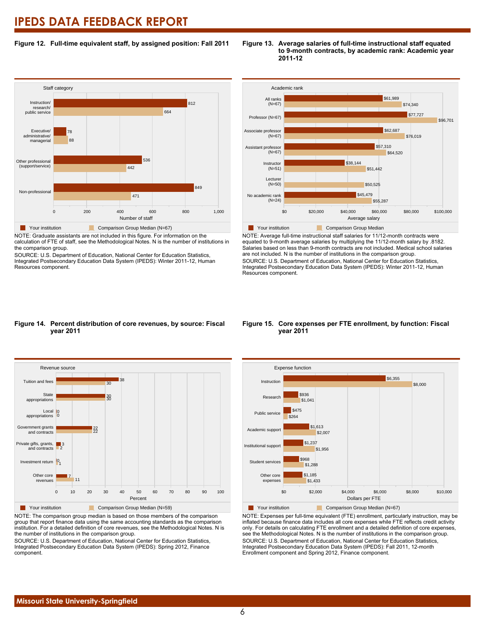#### **Figure 12. Full-time equivalent staff, by assigned position: Fall 2011**



NOTE: Graduate assistants are not included in this figure. For information on the

calculation of FTE of staff, see the Methodological Notes. N is the number of institutions in the comparison group.

SOURCE: U.S. Department of Education, National Center for Education Statistics, Integrated Postsecondary Education Data System (IPEDS): Winter 2011-12, Human Resources component.





NOTE: Average full-time instructional staff salaries for 11/12-month contracts were equated to 9-month average salaries by multiplying the 11/12-month salary by .8182. Salaries based on less than 9-month contracts are not included. Medical school salaries are not included. N is the number of institutions in the comparison group. SOURCE: U.S. Department of Education, National Center for Education Statistics, Integrated Postsecondary Education Data System (IPEDS): Winter 2011-12, Human Resources component.

#### **Figure 14. Percent distribution of core revenues, by source: Fiscal year 2011**



NOTE: The comparison group median is based on those members of the comparison group that report finance data using the same accounting standards as the comparison institution. For a detailed definition of core revenues, see the Methodological Notes. N is the number of institutions in the comparison group.

SOURCE: U.S. Department of Education, National Center for Education Statistics, Integrated Postsecondary Education Data System (IPEDS): Spring 2012, Finance component.

#### **Figure 15. Core expenses per FTE enrollment, by function: Fiscal year 2011**



NOTE: Expenses per full-time equivalent (FTE) enrollment, particularly instruction, may be inflated because finance data includes all core expenses while FTE reflects credit activity only. For details on calculating FTE enrollment and a detailed definition of core expenses, see the Methodological Notes. N is the number of institutions in the comparison group. SOURCE: U.S. Department of Education, National Center for Education Statistics, Integrated Postsecondary Education Data System (IPEDS): Fall 2011, 12-month Enrollment component and Spring 2012, Finance component.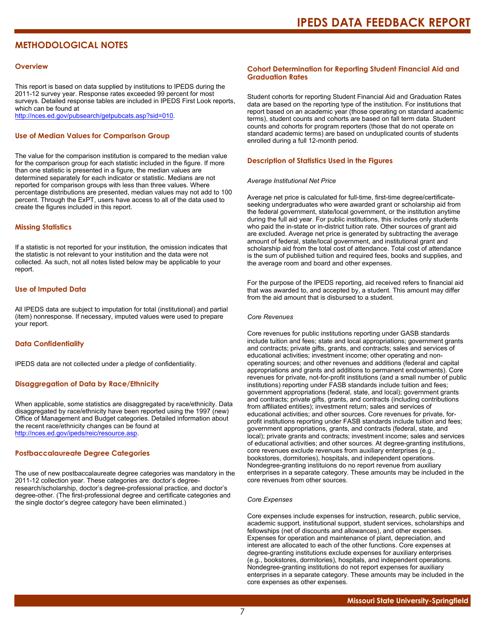# **METHODOLOGICAL NOTES**

#### **Overview**

This report is based on data supplied by institutions to IPEDS during the 2011-12 survey year. Response rates exceeded 99 percent for most surveys. Detailed response tables are included in IPEDS First Look reports, which can be found at [http://nces.ed.gov/pubsearch/getpubcats.asp?sid=010.](http://nces.ed.gov/pubsearch/getpubcats.asp?sid=010)

#### **Use of Median Values for Comparison Group**

The value for the comparison institution is compared to the median value for the comparison group for each statistic included in the figure. If more than one statistic is presented in a figure, the median values are determined separately for each indicator or statistic. Medians are not reported for comparison groups with less than three values. Where percentage distributions are presented, median values may not add to 100 percent. Through the ExPT, users have access to all of the data used to create the figures included in this report.

#### **Missing Statistics**

If a statistic is not reported for your institution, the omission indicates that the statistic is not relevant to your institution and the data were not collected. As such, not all notes listed below may be applicable to your report.

#### **Use of Imputed Data**

All IPEDS data are subject to imputation for total (institutional) and partial (item) nonresponse. If necessary, imputed values were used to prepare your report.

#### **Data Confidentiality**

IPEDS data are not collected under a pledge of confidentiality.

#### **Disaggregation of Data by Race/Ethnicity**

When applicable, some statistics are disaggregated by race/ethnicity. Data disaggregated by race/ethnicity have been reported using the 1997 (new) Office of Management and Budget categories. Detailed information about the recent race/ethnicity changes can be found at <http://nces.ed.gov/ipeds/reic/resource.asp>.

#### **Postbaccalaureate Degree Categories**

The use of new postbaccalaureate degree categories was mandatory in the 2011-12 collection year. These categories are: doctor's degreeresearch/scholarship, doctor's degree-professional practice, and doctor's degree-other. (The first-professional degree and certificate categories and the single doctor's degree category have been eliminated.)

#### **Cohort Determination for Reporting Student Financial Aid and Graduation Rates**

Student cohorts for reporting Student Financial Aid and Graduation Rates data are based on the reporting type of the institution. For institutions that report based on an academic year (those operating on standard academic terms), student counts and cohorts are based on fall term data. Student counts and cohorts for program reporters (those that do not operate on standard academic terms) are based on unduplicated counts of students enrolled during a full 12-month period.

#### **Description of Statistics Used in the Figures**

#### *Average Institutional Net Price*

Average net price is calculated for full-time, first-time degree/certificateseeking undergraduates who were awarded grant or scholarship aid from the federal government, state/local government, or the institution anytime during the full aid year. For public institutions, this includes only students who paid the in-state or in-district tuition rate. Other sources of grant aid are excluded. Average net price is generated by subtracting the average amount of federal, state/local government, and institutional grant and scholarship aid from the total cost of attendance. Total cost of attendance is the sum of published tuition and required fees, books and supplies, and the average room and board and other expenses.

For the purpose of the IPEDS reporting, aid received refers to financial aid that was awarded to, and accepted by, a student. This amount may differ from the aid amount that is disbursed to a student.

#### *Core Revenues*

Core revenues for public institutions reporting under GASB standards include tuition and fees; state and local appropriations; government grants and contracts; private gifts, grants, and contracts; sales and services of educational activities; investment income; other operating and nonoperating sources; and other revenues and additions (federal and capital appropriations and grants and additions to permanent endowments). Core revenues for private, not-for-profit institutions (and a small number of public institutions) reporting under FASB standards include tuition and fees; government appropriations (federal, state, and local); government grants and contracts; private gifts, grants, and contracts (including contributions from affiliated entities); investment return; sales and services of educational activities; and other sources. Core revenues for private, forprofit institutions reporting under FASB standards include tuition and fees; government appropriations, grants, and contracts (federal, state, and local); private grants and contracts; investment income; sales and services of educational activities; and other sources. At degree-granting institutions, core revenues exclude revenues from auxiliary enterprises (e.g., bookstores, dormitories), hospitals, and independent operations. Nondegree-granting instituions do no report revenue from auxiliary enterprises in a separate category. These amounts may be included in the core revenues from other sources.

#### *Core Expenses*

Core expenses include expenses for instruction, research, public service, academic support, institutional support, student services, scholarships and fellowships (net of discounts and allowances), and other expenses. Expenses for operation and maintenance of plant, depreciation, and interest are allocated to each of the other functions. Core expenses at degree-granting institutions exclude expenses for auxiliary enterprises (e.g., bookstores, dormitories), hospitals, and independent operations. Nondegree-granting institutions do not report expenses for auxiliary enterprises in a separate category. These amounts may be included in the core expenses as other expenses.